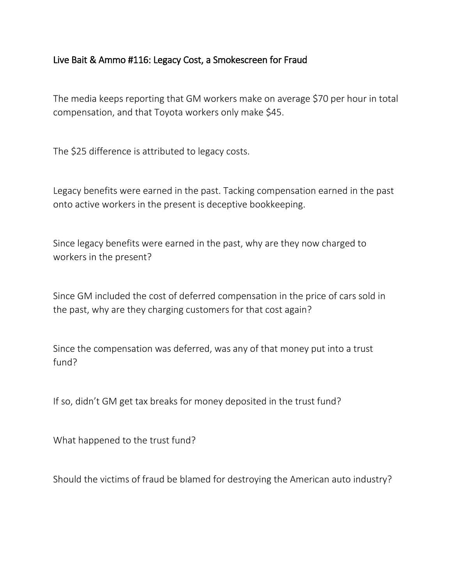## Live Bait & Ammo #116: Legacy Cost, a Smokescreen for Fraud

The media keeps reporting that GM workers make on average \$70 per hour in total compensation, and that Toyota workers only make \$45.

The \$25 difference is attributed to legacy costs.

Legacy benefits were earned in the past. Tacking compensation earned in the past onto active workers in the present is deceptive bookkeeping.

Since legacy benefits were earned in the past, why are they now charged to workers in the present?

Since GM included the cost of deferred compensation in the price of cars sold in the past, why are they charging customers for that cost again?

Since the compensation was deferred, was any of that money put into a trust fund?

If so, didn't GM get tax breaks for money deposited in the trust fund?

What happened to the trust fund?

Should the victims of fraud be blamed for destroying the American auto industry?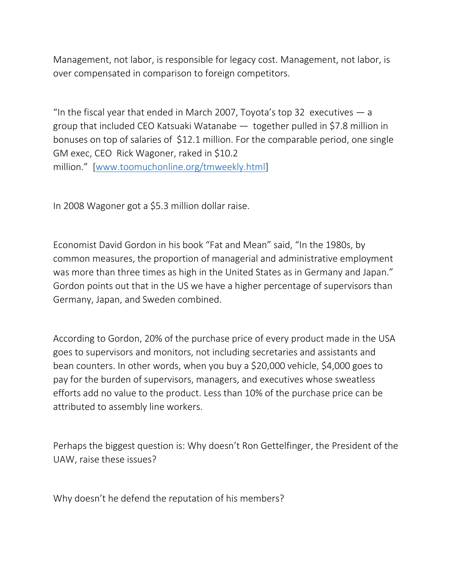Management, not labor, is responsible for legacy cost. Management, not labor, is over compensated in comparison to foreign competitors.

"In the fiscal year that ended in March 2007, Toyota's top 32 executives  $-$  a group that included CEO Katsuaki Watanabe — together pulled in \$7.8 million in bonuses on top of salaries of \$12.1 million. For the comparable period, one single GM exec, CEO Rick Wagoner, raked in \$10.2 million." [\[www.toomuchonline.org/tmweekly.html\]](http://www.toomuchonline.org/tmweekly.html)

In 2008 Wagoner got a \$5.3 million dollar raise.

Economist David Gordon in his book "Fat and Mean" said, "In the 1980s, by common measures, the proportion of managerial and administrative employment was more than three times as high in the United States as in Germany and Japan." Gordon points out that in the US we have a higher percentage of supervisors than Germany, Japan, and Sweden combined.

According to Gordon, 20% of the purchase price of every product made in the USA goes to supervisors and monitors, not including secretaries and assistants and bean counters. In other words, when you buy a \$20,000 vehicle, \$4,000 goes to pay for the burden of supervisors, managers, and executives whose sweatless efforts add no value to the product. Less than 10% of the purchase price can be attributed to assembly line workers.

Perhaps the biggest question is: Why doesn't Ron Gettelfinger, the President of the UAW, raise these issues?

Why doesn't he defend the reputation of his members?